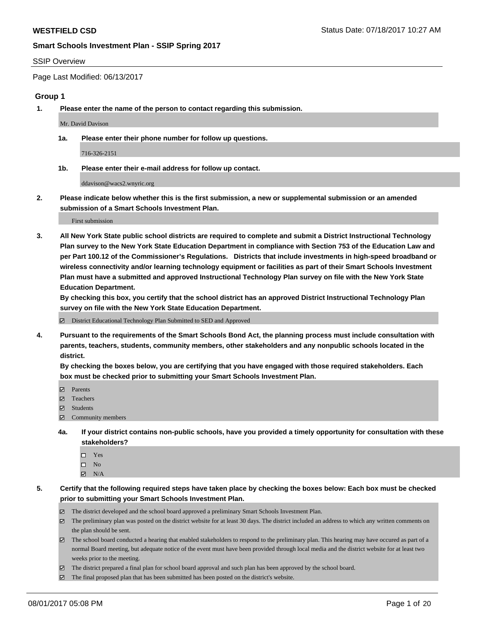### SSIP Overview

Page Last Modified: 06/13/2017

### **Group 1**

**1. Please enter the name of the person to contact regarding this submission.**

Mr. David Davison

**1a. Please enter their phone number for follow up questions.**

716-326-2151

**1b. Please enter their e-mail address for follow up contact.**

ddavison@wacs2.wnyric.org

**2. Please indicate below whether this is the first submission, a new or supplemental submission or an amended submission of a Smart Schools Investment Plan.**

First submission

**3. All New York State public school districts are required to complete and submit a District Instructional Technology Plan survey to the New York State Education Department in compliance with Section 753 of the Education Law and per Part 100.12 of the Commissioner's Regulations. Districts that include investments in high-speed broadband or wireless connectivity and/or learning technology equipment or facilities as part of their Smart Schools Investment Plan must have a submitted and approved Instructional Technology Plan survey on file with the New York State Education Department.** 

**By checking this box, you certify that the school district has an approved District Instructional Technology Plan survey on file with the New York State Education Department.**

District Educational Technology Plan Submitted to SED and Approved

**4. Pursuant to the requirements of the Smart Schools Bond Act, the planning process must include consultation with parents, teachers, students, community members, other stakeholders and any nonpublic schools located in the district.** 

**By checking the boxes below, you are certifying that you have engaged with those required stakeholders. Each box must be checked prior to submitting your Smart Schools Investment Plan.**

- **マ** Parents
- □ Teachers
- Students
- $\Xi$  Community members
- **4a. If your district contains non-public schools, have you provided a timely opportunity for consultation with these stakeholders?**
	- Yes
	- $\hfill \square$  No
	- $\boxtimes$  N/A
- **5. Certify that the following required steps have taken place by checking the boxes below: Each box must be checked prior to submitting your Smart Schools Investment Plan.**
	- The district developed and the school board approved a preliminary Smart Schools Investment Plan.
	- $\boxtimes$  The preliminary plan was posted on the district website for at least 30 days. The district included an address to which any written comments on the plan should be sent.
	- $\boxtimes$  The school board conducted a hearing that enabled stakeholders to respond to the preliminary plan. This hearing may have occured as part of a normal Board meeting, but adequate notice of the event must have been provided through local media and the district website for at least two weeks prior to the meeting.
	- The district prepared a final plan for school board approval and such plan has been approved by the school board.
	- $\boxtimes$  The final proposed plan that has been submitted has been posted on the district's website.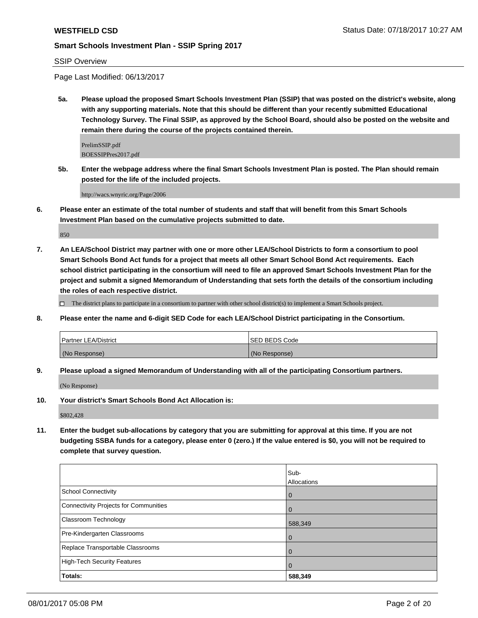### SSIP Overview

Page Last Modified: 06/13/2017

**5a. Please upload the proposed Smart Schools Investment Plan (SSIP) that was posted on the district's website, along with any supporting materials. Note that this should be different than your recently submitted Educational Technology Survey. The Final SSIP, as approved by the School Board, should also be posted on the website and remain there during the course of the projects contained therein.**

PrelimSSIP.pdf BOESSIPPres2017.pdf

**5b. Enter the webpage address where the final Smart Schools Investment Plan is posted. The Plan should remain posted for the life of the included projects.**

http://wacs.wnyric.org/Page/2006

**6. Please enter an estimate of the total number of students and staff that will benefit from this Smart Schools Investment Plan based on the cumulative projects submitted to date.**

850

**7. An LEA/School District may partner with one or more other LEA/School Districts to form a consortium to pool Smart Schools Bond Act funds for a project that meets all other Smart School Bond Act requirements. Each school district participating in the consortium will need to file an approved Smart Schools Investment Plan for the project and submit a signed Memorandum of Understanding that sets forth the details of the consortium including the roles of each respective district.**

 $\Box$  The district plans to participate in a consortium to partner with other school district(s) to implement a Smart Schools project.

**8. Please enter the name and 6-digit SED Code for each LEA/School District participating in the Consortium.**

| <b>Partner LEA/District</b> | <b>ISED BEDS Code</b> |
|-----------------------------|-----------------------|
| (No Response)               | (No Response)         |

**9. Please upload a signed Memorandum of Understanding with all of the participating Consortium partners.**

(No Response)

**10. Your district's Smart Schools Bond Act Allocation is:**

\$802,428

**11. Enter the budget sub-allocations by category that you are submitting for approval at this time. If you are not budgeting SSBA funds for a category, please enter 0 (zero.) If the value entered is \$0, you will not be required to complete that survey question.**

|                                       | Sub-        |
|---------------------------------------|-------------|
|                                       | Allocations |
| <b>School Connectivity</b>            | l 0         |
| Connectivity Projects for Communities | l 0         |
| <b>Classroom Technology</b>           | 588,349     |
| Pre-Kindergarten Classrooms           | l 0         |
| Replace Transportable Classrooms      |             |
| High-Tech Security Features           | l 0         |
| Totals:                               | 588,349     |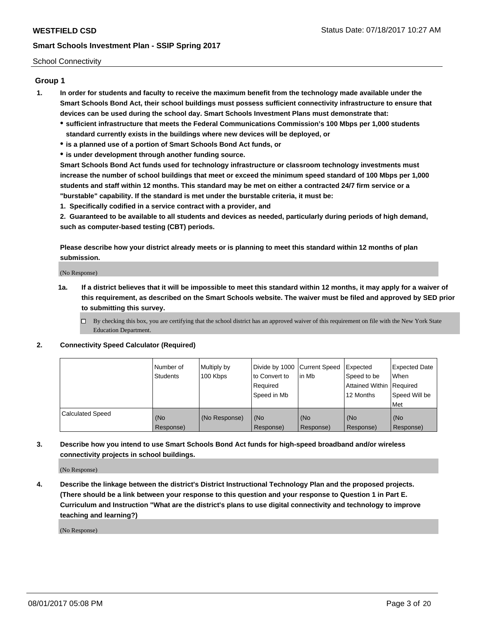#### School Connectivity

### **Group 1**

- **1. In order for students and faculty to receive the maximum benefit from the technology made available under the Smart Schools Bond Act, their school buildings must possess sufficient connectivity infrastructure to ensure that devices can be used during the school day. Smart Schools Investment Plans must demonstrate that:**
	- **sufficient infrastructure that meets the Federal Communications Commission's 100 Mbps per 1,000 students standard currently exists in the buildings where new devices will be deployed, or**
	- **is a planned use of a portion of Smart Schools Bond Act funds, or**
	- **is under development through another funding source.**

**Smart Schools Bond Act funds used for technology infrastructure or classroom technology investments must increase the number of school buildings that meet or exceed the minimum speed standard of 100 Mbps per 1,000 students and staff within 12 months. This standard may be met on either a contracted 24/7 firm service or a "burstable" capability. If the standard is met under the burstable criteria, it must be:**

**1. Specifically codified in a service contract with a provider, and**

**2. Guaranteed to be available to all students and devices as needed, particularly during periods of high demand, such as computer-based testing (CBT) periods.**

**Please describe how your district already meets or is planning to meet this standard within 12 months of plan submission.**

(No Response)

- **1a. If a district believes that it will be impossible to meet this standard within 12 months, it may apply for a waiver of this requirement, as described on the Smart Schools website. The waiver must be filed and approved by SED prior to submitting this survey.**
	- By checking this box, you are certifying that the school district has an approved waiver of this requirement on file with the New York State Education Department.

### **2. Connectivity Speed Calculator (Required)**

|                         | Number of<br><b>Students</b> | Multiply by<br>100 Kbps | Divide by 1000   Current Speed<br>to Convert to | lin Mb    | Expected<br>Speed to be  | <b>Expected Date</b><br>When |
|-------------------------|------------------------------|-------------------------|-------------------------------------------------|-----------|--------------------------|------------------------------|
|                         |                              |                         | Required                                        |           | Attained Within Required |                              |
|                         |                              |                         | Speed in Mb                                     |           | 12 Months                | Speed Will be                |
|                         |                              |                         |                                                 |           |                          | l Met                        |
| <b>Calculated Speed</b> | (No                          | (No Response)           | (No                                             | (No       | (No                      | (No                          |
|                         | Response)                    |                         | Response)                                       | Response) | Response)                | Response)                    |

**3. Describe how you intend to use Smart Schools Bond Act funds for high-speed broadband and/or wireless connectivity projects in school buildings.**

(No Response)

**4. Describe the linkage between the district's District Instructional Technology Plan and the proposed projects. (There should be a link between your response to this question and your response to Question 1 in Part E. Curriculum and Instruction "What are the district's plans to use digital connectivity and technology to improve teaching and learning?)**

(No Response)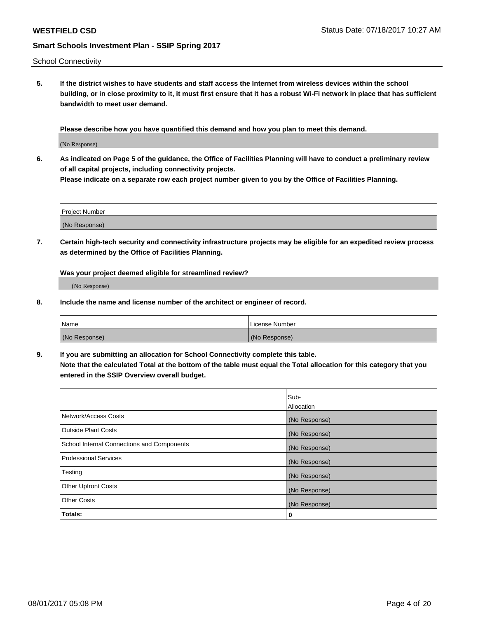School Connectivity

**5. If the district wishes to have students and staff access the Internet from wireless devices within the school building, or in close proximity to it, it must first ensure that it has a robust Wi-Fi network in place that has sufficient bandwidth to meet user demand.**

**Please describe how you have quantified this demand and how you plan to meet this demand.**

(No Response)

**6. As indicated on Page 5 of the guidance, the Office of Facilities Planning will have to conduct a preliminary review of all capital projects, including connectivity projects.**

**Please indicate on a separate row each project number given to you by the Office of Facilities Planning.**

| <b>Project Number</b> |  |
|-----------------------|--|
| (No Response)         |  |

**7. Certain high-tech security and connectivity infrastructure projects may be eligible for an expedited review process as determined by the Office of Facilities Planning.**

**Was your project deemed eligible for streamlined review?**

(No Response)

**8. Include the name and license number of the architect or engineer of record.**

| <b>Name</b>   | l License Number |
|---------------|------------------|
| (No Response) | (No Response)    |

**9. If you are submitting an allocation for School Connectivity complete this table. Note that the calculated Total at the bottom of the table must equal the Total allocation for this category that you entered in the SSIP Overview overall budget.** 

|                                                   | Sub-              |
|---------------------------------------------------|-------------------|
|                                                   | <b>Allocation</b> |
| Network/Access Costs                              | (No Response)     |
| Outside Plant Costs                               | (No Response)     |
| <b>School Internal Connections and Components</b> | (No Response)     |
| <b>Professional Services</b>                      | (No Response)     |
| Testing                                           | (No Response)     |
| <b>Other Upfront Costs</b>                        | (No Response)     |
| <b>Other Costs</b>                                | (No Response)     |
| Totals:                                           | 0                 |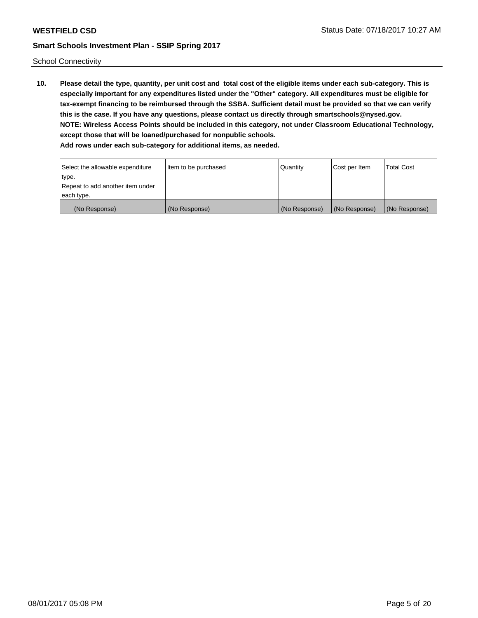School Connectivity

**10. Please detail the type, quantity, per unit cost and total cost of the eligible items under each sub-category. This is especially important for any expenditures listed under the "Other" category. All expenditures must be eligible for tax-exempt financing to be reimbursed through the SSBA. Sufficient detail must be provided so that we can verify this is the case. If you have any questions, please contact us directly through smartschools@nysed.gov. NOTE: Wireless Access Points should be included in this category, not under Classroom Educational Technology, except those that will be loaned/purchased for nonpublic schools. Add rows under each sub-category for additional items, as needed.**

| Select the allowable expenditure | Item to be purchased | Quantity      | Cost per Item | <b>Total Cost</b> |
|----------------------------------|----------------------|---------------|---------------|-------------------|
| type.                            |                      |               |               |                   |
| Repeat to add another item under |                      |               |               |                   |
| each type.                       |                      |               |               |                   |
| (No Response)                    | (No Response)        | (No Response) | (No Response) | (No Response)     |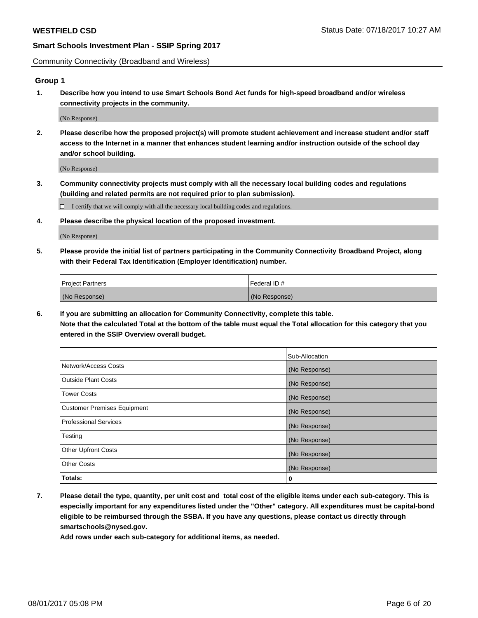Community Connectivity (Broadband and Wireless)

### **Group 1**

**1. Describe how you intend to use Smart Schools Bond Act funds for high-speed broadband and/or wireless connectivity projects in the community.**

(No Response)

**2. Please describe how the proposed project(s) will promote student achievement and increase student and/or staff access to the Internet in a manner that enhances student learning and/or instruction outside of the school day and/or school building.**

(No Response)

**3. Community connectivity projects must comply with all the necessary local building codes and regulations (building and related permits are not required prior to plan submission).**

 $\Box$  I certify that we will comply with all the necessary local building codes and regulations.

**4. Please describe the physical location of the proposed investment.**

(No Response)

**5. Please provide the initial list of partners participating in the Community Connectivity Broadband Project, along with their Federal Tax Identification (Employer Identification) number.**

| <b>Project Partners</b> | l Federal ID # |
|-------------------------|----------------|
| (No Response)           | (No Response)  |

**6. If you are submitting an allocation for Community Connectivity, complete this table. Note that the calculated Total at the bottom of the table must equal the Total allocation for this category that you entered in the SSIP Overview overall budget.**

|                                    | Sub-Allocation |
|------------------------------------|----------------|
| Network/Access Costs               | (No Response)  |
| Outside Plant Costs                | (No Response)  |
| <b>Tower Costs</b>                 | (No Response)  |
| <b>Customer Premises Equipment</b> | (No Response)  |
| Professional Services              | (No Response)  |
| Testing                            | (No Response)  |
| <b>Other Upfront Costs</b>         | (No Response)  |
| <b>Other Costs</b>                 | (No Response)  |
| Totals:                            | 0              |

**7. Please detail the type, quantity, per unit cost and total cost of the eligible items under each sub-category. This is especially important for any expenditures listed under the "Other" category. All expenditures must be capital-bond eligible to be reimbursed through the SSBA. If you have any questions, please contact us directly through smartschools@nysed.gov.**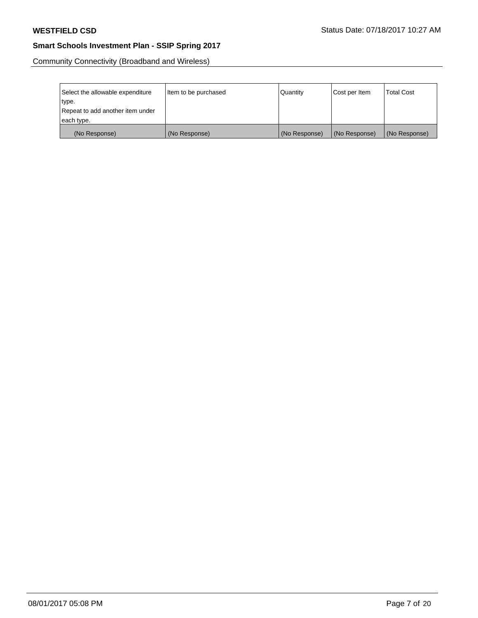Community Connectivity (Broadband and Wireless)

| Select the allowable expenditure | Item to be purchased | Quantity      | Cost per Item | <b>Total Cost</b> |
|----------------------------------|----------------------|---------------|---------------|-------------------|
| type.                            |                      |               |               |                   |
| Repeat to add another item under |                      |               |               |                   |
| each type.                       |                      |               |               |                   |
| (No Response)                    | (No Response)        | (No Response) | (No Response) | (No Response)     |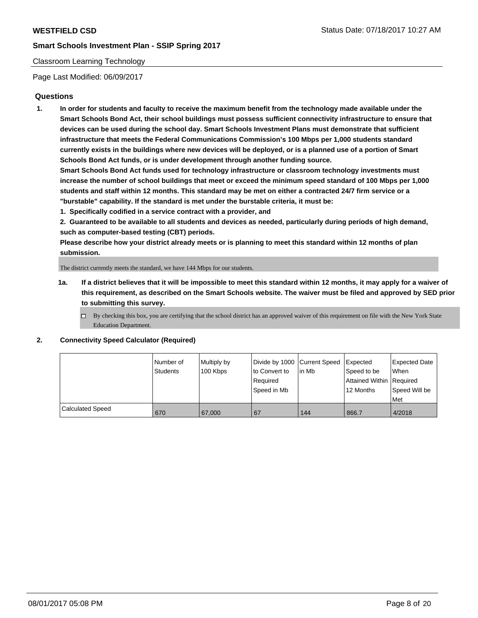### Classroom Learning Technology

Page Last Modified: 06/09/2017

### **Questions**

**1. In order for students and faculty to receive the maximum benefit from the technology made available under the Smart Schools Bond Act, their school buildings must possess sufficient connectivity infrastructure to ensure that devices can be used during the school day. Smart Schools Investment Plans must demonstrate that sufficient infrastructure that meets the Federal Communications Commission's 100 Mbps per 1,000 students standard currently exists in the buildings where new devices will be deployed, or is a planned use of a portion of Smart Schools Bond Act funds, or is under development through another funding source.**

**Smart Schools Bond Act funds used for technology infrastructure or classroom technology investments must increase the number of school buildings that meet or exceed the minimum speed standard of 100 Mbps per 1,000 students and staff within 12 months. This standard may be met on either a contracted 24/7 firm service or a "burstable" capability. If the standard is met under the burstable criteria, it must be:**

- **1. Specifically codified in a service contract with a provider, and**
- **2. Guaranteed to be available to all students and devices as needed, particularly during periods of high demand, such as computer-based testing (CBT) periods.**

**Please describe how your district already meets or is planning to meet this standard within 12 months of plan submission.**

The district currently meets the standard, we have 144 Mbps for our students.

- **1a. If a district believes that it will be impossible to meet this standard within 12 months, it may apply for a waiver of this requirement, as described on the Smart Schools website. The waiver must be filed and approved by SED prior to submitting this survey.**
	- $\Box$  By checking this box, you are certifying that the school district has an approved waiver of this requirement on file with the New York State Education Department.

### **2. Connectivity Speed Calculator (Required)**

|                         | I Number of<br><b>Students</b> | Multiply by<br>100 Kbps | Divide by 1000   Current Speed<br>to Convert to<br>Required<br>Speed in Mb | lin Mb | Expected<br>Speed to be<br>Attained Within Required<br>12 Months | Expected Date<br>When<br>Speed Will be<br>Met |
|-------------------------|--------------------------------|-------------------------|----------------------------------------------------------------------------|--------|------------------------------------------------------------------|-----------------------------------------------|
| <b>Calculated Speed</b> | 670                            | 67,000                  | l 67                                                                       | 144    | 866.7                                                            | 4/2018                                        |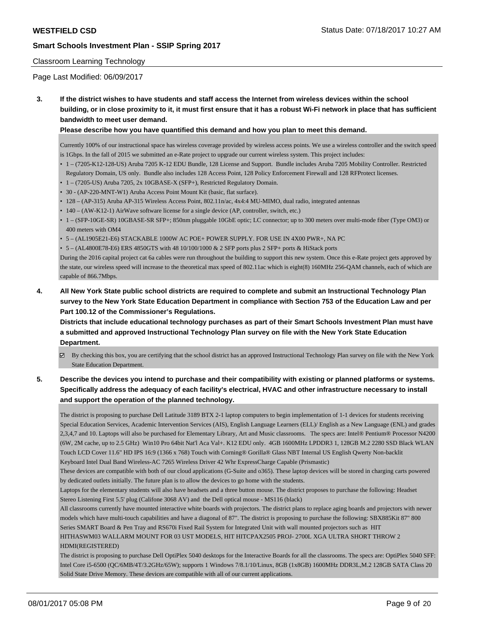### Classroom Learning Technology

Page Last Modified: 06/09/2017

**3. If the district wishes to have students and staff access the Internet from wireless devices within the school building, or in close proximity to it, it must first ensure that it has a robust Wi-Fi network in place that has sufficient bandwidth to meet user demand.**

**Please describe how you have quantified this demand and how you plan to meet this demand.**

Currently 100% of our instructional space has wireless coverage provided by wireless access points. We use a wireless controller and the switch speed is 1Gbps. In the fall of 2015 we submitted an e-Rate project to upgrade our current wireless system. This project includes:

- 1 (7205-K12-128-US) Aruba 7205 K-12 EDU Bundle, 128 License and Support. Bundle includes Aruba 7205 Mobility Controller. Restricted Regulatory Domain, US only. Bundle also includes 128 Access Point, 128 Policy Enforcement Firewall and 128 RFProtect licenses.
- 1 (7205-US) Aruba 7205, 2x 10GBASE-X (SFP+), Restricted Regulatory Domain.
- 30 (AP-220-MNT-W1) Aruba Access Point Mount Kit (basic, flat surface).
- 128 (AP-315) Aruba AP-315 Wireless Access Point, 802.11n/ac, 4x4:4 MU-MIMO, dual radio, integrated antennas
- 140 (AW-K12-1) AirWave software license for a single device (AP, controller, switch, etc.)
- 1 (SFP-10GE-SR) 10GBASE-SR SFP+; 850nm pluggable 10GbE optic; LC connector; up to 300 meters over multi-mode fiber (Type OM3) or 400 meters with OM4
- 5 (AL1905E21-E6) STACKABLE 1000W AC POE+ POWER SUPPLY. FOR USE IN 4X00 PWR+, NA PC
- 5 (AL4800E78-E6) ERS 4850GTS with 48 10/100/1000 & 2 SFP ports plus 2 SFP+ ports & HiStack ports

During the 2016 capital project cat 6a cables were run throughout the building to support this new system. Once this e-Rate project gets approved by the state, our wireless speed will increase to the theoretical max speed of 802.11ac which is eight(8) 160MHz 256-QAM channels, each of which are capable of 866.7Mbps.

**4. All New York State public school districts are required to complete and submit an Instructional Technology Plan survey to the New York State Education Department in compliance with Section 753 of the Education Law and per Part 100.12 of the Commissioner's Regulations.**

**Districts that include educational technology purchases as part of their Smart Schools Investment Plan must have a submitted and approved Instructional Technology Plan survey on file with the New York State Education Department.**

By checking this box, you are certifying that the school district has an approved Instructional Technology Plan survey on file with the New York State Education Department.

## **5. Describe the devices you intend to purchase and their compatibility with existing or planned platforms or systems. Specifically address the adequacy of each facility's electrical, HVAC and other infrastructure necessary to install and support the operation of the planned technology.**

The district is proposing to purchase Dell Latitude 3189 BTX 2-1 laptop computers to begin implementation of 1-1 devices for students receiving Special Education Services, Academic Intervention Services (AIS), English Language Learners (ELL)/ English as a New Language (ENL) and grades 2,3,4,7 and 10. Laptops will also be purchased for Elementary Library, Art and Music classrooms. The specs are: Intel® Pentium® Processor N4200 (6W, 2M cache, up to 2.5 GHz) Win10 Pro 64bit Nat'l Aca Val+. K12 EDU only. 4GB 1600MHz LPDDR3 1, 128GB M.2 2280 SSD Black WLAN Touch LCD Cover 11.6" HD IPS 16:9 (1366 x 768) Touch with Corning® Gorilla® Glass NBT Internal US English Qwerty Non-backlit Keyboard Intel Dual Band Wireless-AC 7265 Wireless Driver 42 Whr ExpressCharge Capable (Prismastic)

These devices are compatible with both of our cloud applications (G-Suite and o365). These laptop devices will be stored in charging carts powered by dedicated outlets initially. The future plan is to allow the devices to go home with the students.

Laptops for the elementary students will also have headsets and a three button mouse. The district proposes to purchase the following: Headset Stereo Listening First 5.5' plug (Califone 3068 AV) and the Dell optical mouse - MS116 (black)

All classrooms currently have mounted interactive white boards with projectors. The district plans to replace aging boards and projectors with newer models which have multi-touch capabilities and have a diagonal of 87". The district is proposing to purchase the following: SBX885Kit 87" 800

Series SMART Board & Pen Tray and RS670i Fixed Rail System for Integrated Unit with wall mounted projectors such as HIT

HITHASWM03 WALLARM MOUNT FOR 03 UST MODELS, HIT HITCPAX2505 PROJ- 2700L XGA ULTRA SHORT THROW 2 HDMI(REGISTERED)

The district is proposing to purchase Dell OptiPlex 5040 desktops for the Interactive Boards for all the classrooms. The specs are: OptiPlex 5040 SFF: Intel Core i5-6500 (QC/6MB/4T/3.2GHz/65W); supports 1 Windows 7/8.1/10/Linux, 8GB (1x8GB) 1600MHz DDR3L,M.2 128GB SATA Class 20 Solid State Drive Memory. These devices are compatible with all of our current applications.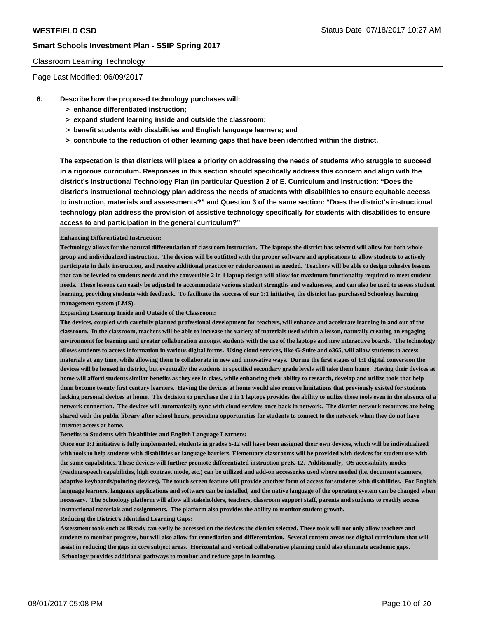### Classroom Learning Technology

Page Last Modified: 06/09/2017

### **6. Describe how the proposed technology purchases will:**

- **> enhance differentiated instruction;**
- **> expand student learning inside and outside the classroom;**
- **> benefit students with disabilities and English language learners; and**
- **> contribute to the reduction of other learning gaps that have been identified within the district.**

**The expectation is that districts will place a priority on addressing the needs of students who struggle to succeed in a rigorous curriculum. Responses in this section should specifically address this concern and align with the district's Instructional Technology Plan (in particular Question 2 of E. Curriculum and Instruction: "Does the district's instructional technology plan address the needs of students with disabilities to ensure equitable access to instruction, materials and assessments?" and Question 3 of the same section: "Does the district's instructional technology plan address the provision of assistive technology specifically for students with disabilities to ensure access to and participation in the general curriculum?"**

#### **Enhancing Differentiated Instruction:**

**Technology allows for the natural differentiation of classroom instruction. The laptops the district has selected will allow for both whole group and individualized instruction. The devices will be outfitted with the proper software and applications to allow students to actively participate in daily instruction, and receive additional practice or reinforcement as needed. Teachers will be able to design cohesive lessons that can be leveled to students needs and the convertible 2 in 1 laptop design will allow for maximum functionality required to meet student needs. These lessons can easily be adjusted to accommodate various student strengths and weaknesses, and can also be used to assess student learning, providing students with feedback. To facilitate the success of our 1:1 initiative, the district has purchased Schoology learning management system (LMS).** 

**Expanding Learning Inside and Outside of the Classroom:**

**The devices, coupled with carefully planned professional development for teachers, will enhance and accelerate learning in and out of the classroom. In the classroom, teachers will be able to increase the variety of materials used within a lesson, naturally creating an engaging environment for learning and greater collaboration amongst students with the use of the laptops and new interactive boards. The technology allows students to access information in various digital forms. Using cloud services, like G-Suite and o365, will allow students to access materials at any time, while allowing them to collaborate in new and innovative ways. During the first stages of 1:1 digital conversion the devices will be housed in district, but eventually the students in specified secondary grade levels will take them home. Having their devices at home will afford students similar benefits as they see in class, while enhancing their ability to research, develop and utilize tools that help them become twenty first century learners. Having the devices at home would also remove limitations that previously existed for students lacking personal devices at home. The decision to purchase the 2 in 1 laptops provides the ability to utilize these tools even in the absence of a network connection. The devices will automatically sync with cloud services once back in network. The district network resources are being shared with the public library after school hours, providing opportunities for students to connect to the network when they do not have internet access at home.**

**Benefits to Students with Disabilities and English Language Learners:**

**Once our 1:1 initiative is fully implemented, students in grades 5-12 will have been assigned their own devices, which will be individualized with tools to help students with disabilities or language barriers. Elementary classrooms will be provided with devices for student use with the same capabilities. These devices will further promote differentiated instruction preK-12. Additionally, OS accessibility modes (reading/speech capabilities, high contrast mode, etc.) can be utilized and add-on accessories used where needed (i.e. document scanners, adaptive keyboards/pointing devices). The touch screen feature will provide another form of access for students with disabilities. For English language learners, language applications and software can be installed, and the native language of the operating system can be changed when necessary. The Schoology platform will allow all stakeholders, teachers, classroom support staff, parents and students to readily access instructional materials and assignments. The platform also provides the ability to monitor student growth.**

**Reducing the District's Identified Learning Gaps:**

**Assessment tools such as iReady can easily be accessed on the devices the district selected. These tools will not only allow teachers and students to monitor progress, but will also allow for remediation and differentiation. Several content areas use digital curriculum that will assist in reducing the gaps in core subject areas. Horizontal and vertical collaborative planning could also eliminate academic gaps. Schoology provides additional pathways to monitor and reduce gaps in learning.**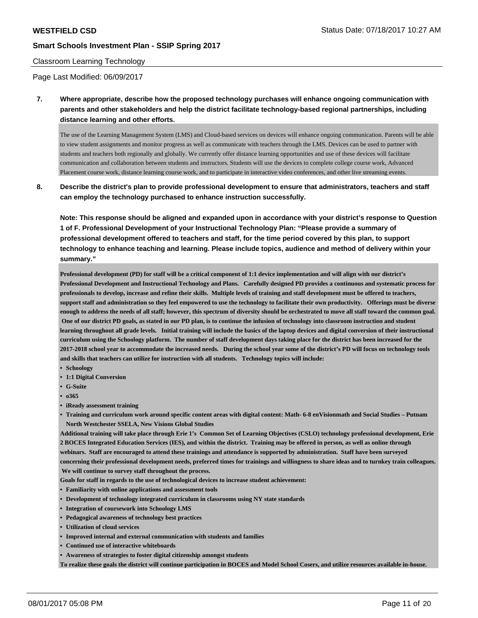### Classroom Learning Technology

Page Last Modified: 06/09/2017

**7. Where appropriate, describe how the proposed technology purchases will enhance ongoing communication with parents and other stakeholders and help the district facilitate technology-based regional partnerships, including distance learning and other efforts.**

The use of the Learning Management System (LMS) and Cloud-based services on devices will enhance ongoing communication. Parents will be able to view student assignments and monitor progress as well as communicate with teachers through the LMS. Devices can be used to partner with students and teachers both regionally and globally. We currently offer distance learning opportunities and use of these devices will facilitate communication and collaboration between students and instructors. Students will use the devices to complete college course work, Advanced Placement course work, distance learning course work, and to participate in interactive video conferences, and other live streaming events.

**8. Describe the district's plan to provide professional development to ensure that administrators, teachers and staff can employ the technology purchased to enhance instruction successfully.**

**Note: This response should be aligned and expanded upon in accordance with your district's response to Question 1 of F. Professional Development of your Instructional Technology Plan: "Please provide a summary of professional development offered to teachers and staff, for the time period covered by this plan, to support technology to enhance teaching and learning. Please include topics, audience and method of delivery within your summary."**

**Professional development (PD) for staff will be a critical component of 1:1 device implementation and will align with our district's Professional Development and Instructional Technology and Plans. Carefully designed PD provides a continuous and systematic process for professionals to develop, increase and refine their skills. Multiple levels of training and staff development must be offered to teachers, support staff and administration so they feel empowered to use the technology to facilitate their own productivity. Offerings must be diverse enough to address the needs of all staff; however, this spectrum of diversity should be orchestrated to move all staff toward the common goal. One of our district PD goals, as stated in our PD plan, is to continue the infusion of technology into classroom instruction and student learning throughout all grade levels. Initial training will include the basics of the laptop devices and digital conversion of their instructional curriculum using the Schoology platform. The number of staff development days taking place for the district has been increased for the 2017-2018 school year to accommodate the increased needs. During the school year some of the district's PD will focus on technology tools and skills that teachers can utilize for instruction with all students. Technology topics will include:**

- **• Schoology**
- **• 1:1 Digital Conversion**
- **• G-Suite**
- **• o365**
- **• iReady assessment training**

**• Training and curriculum work around specific content areas with digital content: Math- 6-8 enVisionmath and Social Studies – Putnam North Westchester SSELA, New Visions Global Studies**

**Additional training will take place through Erie 1's Common Set of Learning Objectives (CSLO) technology professional development, Erie 2 BOCES Integrated Education Services (IES), and within the district. Training may be offered in person, as well as online through webinars. Staff are encouraged to attend these trainings and attendance is supported by administration. Staff have been surveyed concerning their professional development needs, preferred times for trainings and willingness to share ideas and to turnkey train colleagues. We will continue to survey staff throughout the process.**

**Goals for staff in regards to the use of technological devices to increase student achievement:**

- **• Familiarity with online applications and assessment tools**
- **• Development of technology integrated curriculum in classrooms using NY state standards**
- **• Integration of coursework into Schoology LMS**
- **• Pedagogical awareness of technology best practices**
- **• Utilization of cloud services**
- **• Improved internal and external communication with students and families**
- **• Continued use of interactive whiteboards**
- **• Awareness of strategies to foster digital citizenship amongst students**

**To realize these goals the district will continue participation in BOCES and Model School Cosers, and utilize resources available in-house.**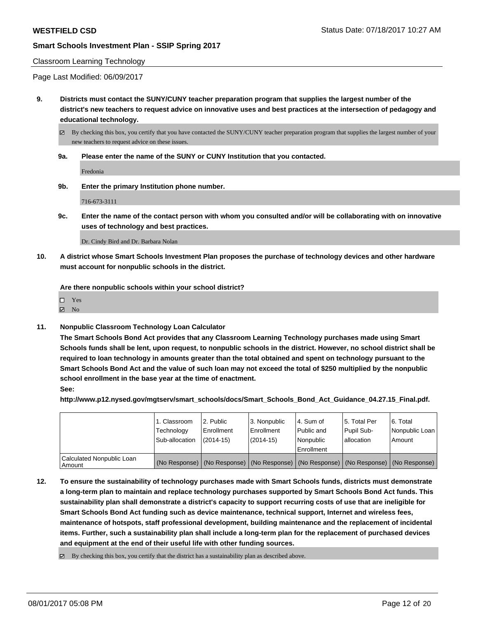#### Classroom Learning Technology

Page Last Modified: 06/09/2017

**9. Districts must contact the SUNY/CUNY teacher preparation program that supplies the largest number of the district's new teachers to request advice on innovative uses and best practices at the intersection of pedagogy and educational technology.**

By checking this box, you certify that you have contacted the SUNY/CUNY teacher preparation program that supplies the largest number of your new teachers to request advice on these issues.

**9a. Please enter the name of the SUNY or CUNY Institution that you contacted.**

Fredonia

**9b. Enter the primary Institution phone number.**

716-673-3111

**9c. Enter the name of the contact person with whom you consulted and/or will be collaborating with on innovative uses of technology and best practices.**

Dr. Cindy Bird and Dr. Barbara Nolan

**10. A district whose Smart Schools Investment Plan proposes the purchase of technology devices and other hardware must account for nonpublic schools in the district.**

**Are there nonpublic schools within your school district?**

Yes

 $\boxtimes$  No

**11. Nonpublic Classroom Technology Loan Calculator**

**The Smart Schools Bond Act provides that any Classroom Learning Technology purchases made using Smart Schools funds shall be lent, upon request, to nonpublic schools in the district. However, no school district shall be required to loan technology in amounts greater than the total obtained and spent on technology pursuant to the Smart Schools Bond Act and the value of such loan may not exceed the total of \$250 multiplied by the nonpublic school enrollment in the base year at the time of enactment.**

**See:**

**http://www.p12.nysed.gov/mgtserv/smart\_schools/docs/Smart\_Schools\_Bond\_Act\_Guidance\_04.27.15\_Final.pdf.**

|                                     | 1. Classroom<br>Technology<br>Sub-allocation | l 2. Public<br>Enrollment<br>$(2014-15)$ | 3. Nonpublic<br>Enrollment<br>(2014-15) | l 4. Sum of<br>Public and<br>Nonpublic<br>Enrollment | 15. Total Per<br>Pupil Sub-<br>l allocation | l 6. Total<br>Nonpublic Loan<br>Amount                                                        |
|-------------------------------------|----------------------------------------------|------------------------------------------|-----------------------------------------|------------------------------------------------------|---------------------------------------------|-----------------------------------------------------------------------------------------------|
| Calculated Nonpublic Loan<br>Amount |                                              |                                          |                                         |                                                      |                                             | (No Response)   (No Response)   (No Response)   (No Response)   (No Response)   (No Response) |

- **12. To ensure the sustainability of technology purchases made with Smart Schools funds, districts must demonstrate a long-term plan to maintain and replace technology purchases supported by Smart Schools Bond Act funds. This sustainability plan shall demonstrate a district's capacity to support recurring costs of use that are ineligible for Smart Schools Bond Act funding such as device maintenance, technical support, Internet and wireless fees, maintenance of hotspots, staff professional development, building maintenance and the replacement of incidental items. Further, such a sustainability plan shall include a long-term plan for the replacement of purchased devices and equipment at the end of their useful life with other funding sources.**
	- $\boxtimes$  By checking this box, you certify that the district has a sustainability plan as described above.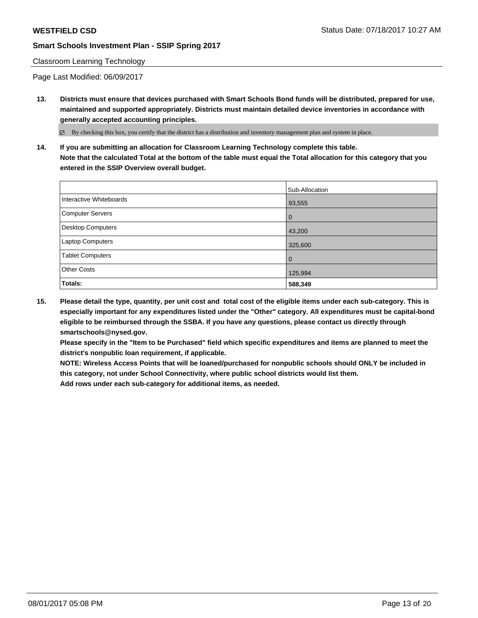### Classroom Learning Technology

Page Last Modified: 06/09/2017

**13. Districts must ensure that devices purchased with Smart Schools Bond funds will be distributed, prepared for use, maintained and supported appropriately. Districts must maintain detailed device inventories in accordance with generally accepted accounting principles.**

By checking this box, you certify that the district has a distribution and inventory management plan and system in place.

**14. If you are submitting an allocation for Classroom Learning Technology complete this table. Note that the calculated Total at the bottom of the table must equal the Total allocation for this category that you entered in the SSIP Overview overall budget.**

|                          | Sub-Allocation |
|--------------------------|----------------|
| Interactive Whiteboards  | 93,555         |
| Computer Servers         | $\overline{0}$ |
| <b>Desktop Computers</b> | 43,200         |
| <b>Laptop Computers</b>  | 325,600        |
| <b>Tablet Computers</b>  | $\overline{0}$ |
| <b>Other Costs</b>       | 125,994        |
| Totals:                  | 588,349        |

**15. Please detail the type, quantity, per unit cost and total cost of the eligible items under each sub-category. This is especially important for any expenditures listed under the "Other" category. All expenditures must be capital-bond eligible to be reimbursed through the SSBA. If you have any questions, please contact us directly through smartschools@nysed.gov.**

**Please specify in the "Item to be Purchased" field which specific expenditures and items are planned to meet the district's nonpublic loan requirement, if applicable.**

**NOTE: Wireless Access Points that will be loaned/purchased for nonpublic schools should ONLY be included in this category, not under School Connectivity, where public school districts would list them.**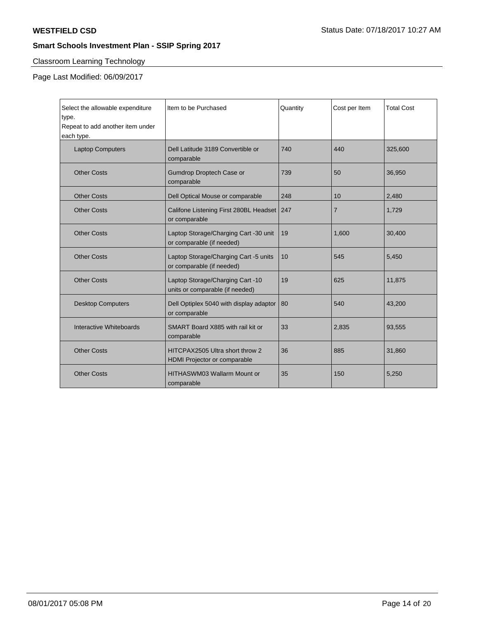# Classroom Learning Technology

Page Last Modified: 06/09/2017

| Select the allowable expenditure<br>type.<br>Repeat to add another item under<br>each type. | Item to be Purchased                                                | Quantity | Cost per Item | <b>Total Cost</b> |
|---------------------------------------------------------------------------------------------|---------------------------------------------------------------------|----------|---------------|-------------------|
| <b>Laptop Computers</b>                                                                     | Dell Latitude 3189 Convertible or<br>comparable                     | 740      | 440           | 325,600           |
| <b>Other Costs</b>                                                                          | Gumdrop Droptech Case or<br>comparable                              | 739      | 50            | 36,950            |
| <b>Other Costs</b>                                                                          | Dell Optical Mouse or comparable                                    | 248      | 10            | 2,480             |
| <b>Other Costs</b>                                                                          | Califone Listening First 280BL Headset<br>or comparable             | 247      | 7             | 1,729             |
| <b>Other Costs</b>                                                                          | Laptop Storage/Charging Cart -30 unit<br>or comparable (if needed)  | 19       | 1,600         | 30,400            |
| <b>Other Costs</b>                                                                          | Laptop Storage/Charging Cart -5 units<br>or comparable (if needed)  | 10       | 545           | 5,450             |
| <b>Other Costs</b>                                                                          | Laptop Storage/Charging Cart -10<br>units or comparable (if needed) | 19       | 625           | 11,875            |
| <b>Desktop Computers</b>                                                                    | Dell Optiplex 5040 with display adaptor<br>or comparable            | 80       | 540           | 43,200            |
| Interactive Whiteboards                                                                     | SMART Board X885 with rail kit or<br>comparable                     | 33       | 2,835         | 93,555            |
| <b>Other Costs</b>                                                                          | HITCPAX2505 Ultra short throw 2<br>HDMI Projector or comparable     | 36       | 885           | 31,860            |
| <b>Other Costs</b>                                                                          | <b>HITHASWM03 Wallarm Mount or</b><br>comparable                    | 35       | 150           | 5,250             |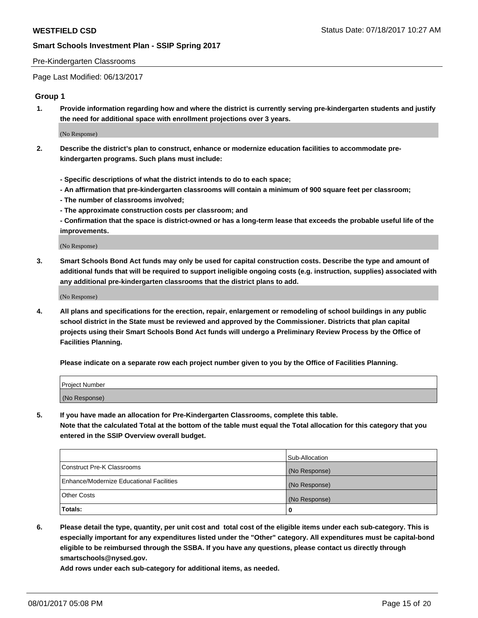### Pre-Kindergarten Classrooms

Page Last Modified: 06/13/2017

### **Group 1**

**1. Provide information regarding how and where the district is currently serving pre-kindergarten students and justify the need for additional space with enrollment projections over 3 years.**

(No Response)

- **2. Describe the district's plan to construct, enhance or modernize education facilities to accommodate prekindergarten programs. Such plans must include:**
	- **Specific descriptions of what the district intends to do to each space;**
	- **An affirmation that pre-kindergarten classrooms will contain a minimum of 900 square feet per classroom;**
	- **The number of classrooms involved;**
	- **The approximate construction costs per classroom; and**
	- **Confirmation that the space is district-owned or has a long-term lease that exceeds the probable useful life of the improvements.**

(No Response)

**3. Smart Schools Bond Act funds may only be used for capital construction costs. Describe the type and amount of additional funds that will be required to support ineligible ongoing costs (e.g. instruction, supplies) associated with any additional pre-kindergarten classrooms that the district plans to add.**

(No Response)

**4. All plans and specifications for the erection, repair, enlargement or remodeling of school buildings in any public school district in the State must be reviewed and approved by the Commissioner. Districts that plan capital projects using their Smart Schools Bond Act funds will undergo a Preliminary Review Process by the Office of Facilities Planning.**

**Please indicate on a separate row each project number given to you by the Office of Facilities Planning.**

| Project Number |  |
|----------------|--|
| (No Response)  |  |

**5. If you have made an allocation for Pre-Kindergarten Classrooms, complete this table. Note that the calculated Total at the bottom of the table must equal the Total allocation for this category that you entered in the SSIP Overview overall budget.**

| Totals:                                  | 0              |
|------------------------------------------|----------------|
| Other Costs                              | (No Response)  |
| Enhance/Modernize Educational Facilities | (No Response)  |
| Construct Pre-K Classrooms               | (No Response)  |
|                                          | Sub-Allocation |

**6. Please detail the type, quantity, per unit cost and total cost of the eligible items under each sub-category. This is especially important for any expenditures listed under the "Other" category. All expenditures must be capital-bond eligible to be reimbursed through the SSBA. If you have any questions, please contact us directly through smartschools@nysed.gov.**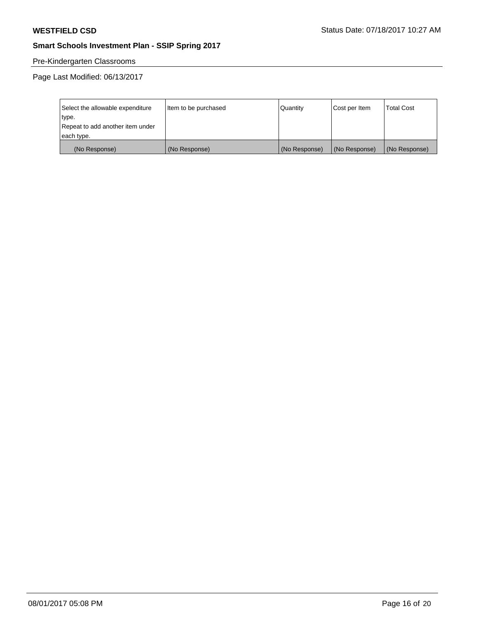# Pre-Kindergarten Classrooms

Page Last Modified: 06/13/2017

| Select the allowable expenditure | Item to be purchased | Quantity      | Cost per Item | <b>Total Cost</b> |
|----------------------------------|----------------------|---------------|---------------|-------------------|
| type.                            |                      |               |               |                   |
| Repeat to add another item under |                      |               |               |                   |
| each type.                       |                      |               |               |                   |
| (No Response)                    | (No Response)        | (No Response) | (No Response) | (No Response)     |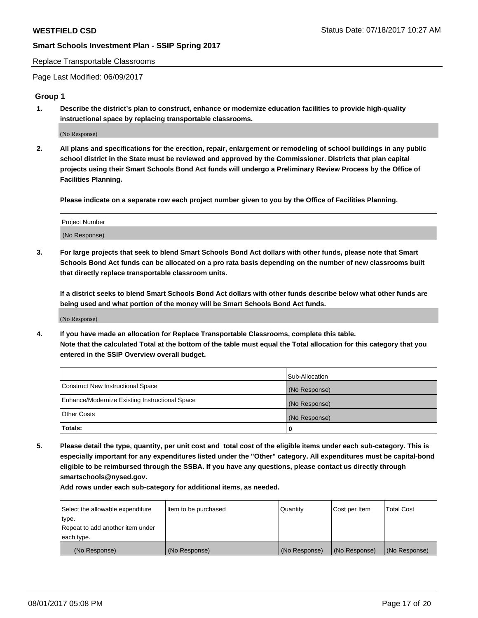Replace Transportable Classrooms

Page Last Modified: 06/09/2017

### **Group 1**

**1. Describe the district's plan to construct, enhance or modernize education facilities to provide high-quality instructional space by replacing transportable classrooms.**

(No Response)

**2. All plans and specifications for the erection, repair, enlargement or remodeling of school buildings in any public school district in the State must be reviewed and approved by the Commissioner. Districts that plan capital projects using their Smart Schools Bond Act funds will undergo a Preliminary Review Process by the Office of Facilities Planning.**

**Please indicate on a separate row each project number given to you by the Office of Facilities Planning.**

| Project Number |  |
|----------------|--|
| (No Response)  |  |

**3. For large projects that seek to blend Smart Schools Bond Act dollars with other funds, please note that Smart Schools Bond Act funds can be allocated on a pro rata basis depending on the number of new classrooms built that directly replace transportable classroom units.**

**If a district seeks to blend Smart Schools Bond Act dollars with other funds describe below what other funds are being used and what portion of the money will be Smart Schools Bond Act funds.**

(No Response)

**4. If you have made an allocation for Replace Transportable Classrooms, complete this table. Note that the calculated Total at the bottom of the table must equal the Total allocation for this category that you entered in the SSIP Overview overall budget.**

|                                                | Sub-Allocation |
|------------------------------------------------|----------------|
| Construct New Instructional Space              | (No Response)  |
| Enhance/Modernize Existing Instructional Space | (No Response)  |
| Other Costs                                    | (No Response)  |
| Totals:                                        | $\Omega$       |

**5. Please detail the type, quantity, per unit cost and total cost of the eligible items under each sub-category. This is especially important for any expenditures listed under the "Other" category. All expenditures must be capital-bond eligible to be reimbursed through the SSBA. If you have any questions, please contact us directly through smartschools@nysed.gov.**

| Select the allowable expenditure | Item to be purchased | Quantity      | Cost per Item | <b>Total Cost</b> |
|----------------------------------|----------------------|---------------|---------------|-------------------|
| type.                            |                      |               |               |                   |
| Repeat to add another item under |                      |               |               |                   |
| each type.                       |                      |               |               |                   |
| (No Response)                    | (No Response)        | (No Response) | (No Response) | (No Response)     |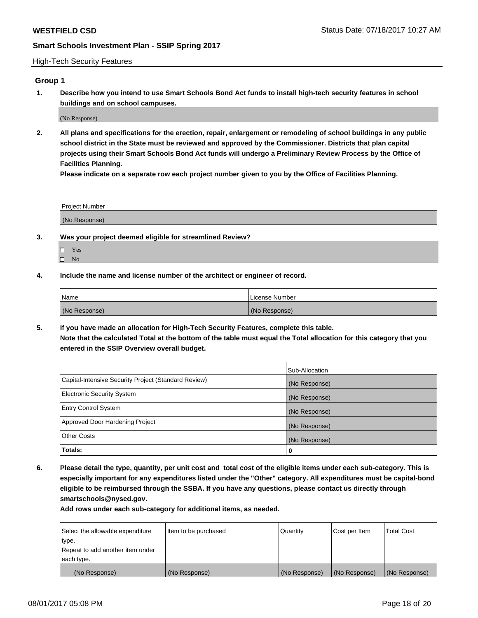High-Tech Security Features

### **Group 1**

**1. Describe how you intend to use Smart Schools Bond Act funds to install high-tech security features in school buildings and on school campuses.**

(No Response)

**2. All plans and specifications for the erection, repair, enlargement or remodeling of school buildings in any public school district in the State must be reviewed and approved by the Commissioner. Districts that plan capital projects using their Smart Schools Bond Act funds will undergo a Preliminary Review Process by the Office of Facilities Planning.** 

**Please indicate on a separate row each project number given to you by the Office of Facilities Planning.**

| <b>Project Number</b> |  |
|-----------------------|--|
| (No Response)         |  |

- **3. Was your project deemed eligible for streamlined Review?**
	- Yes  $\square$  No
- **4. Include the name and license number of the architect or engineer of record.**

| <b>Name</b>   | License Number |
|---------------|----------------|
| (No Response) | (No Response)  |

**5. If you have made an allocation for High-Tech Security Features, complete this table. Note that the calculated Total at the bottom of the table must equal the Total allocation for this category that you entered in the SSIP Overview overall budget.**

|                                                      | Sub-Allocation |
|------------------------------------------------------|----------------|
| Capital-Intensive Security Project (Standard Review) | (No Response)  |
| <b>Electronic Security System</b>                    | (No Response)  |
| <b>Entry Control System</b>                          | (No Response)  |
| Approved Door Hardening Project                      | (No Response)  |
| <b>Other Costs</b>                                   | (No Response)  |
| Totals:                                              | 0              |

**6. Please detail the type, quantity, per unit cost and total cost of the eligible items under each sub-category. This is especially important for any expenditures listed under the "Other" category. All expenditures must be capital-bond eligible to be reimbursed through the SSBA. If you have any questions, please contact us directly through smartschools@nysed.gov.**

| Select the allowable expenditure | Item to be purchased | Quantity      | Cost per Item | <b>Total Cost</b> |
|----------------------------------|----------------------|---------------|---------------|-------------------|
| type.                            |                      |               |               |                   |
| Repeat to add another item under |                      |               |               |                   |
| each type.                       |                      |               |               |                   |
| (No Response)                    | (No Response)        | (No Response) | (No Response) | (No Response)     |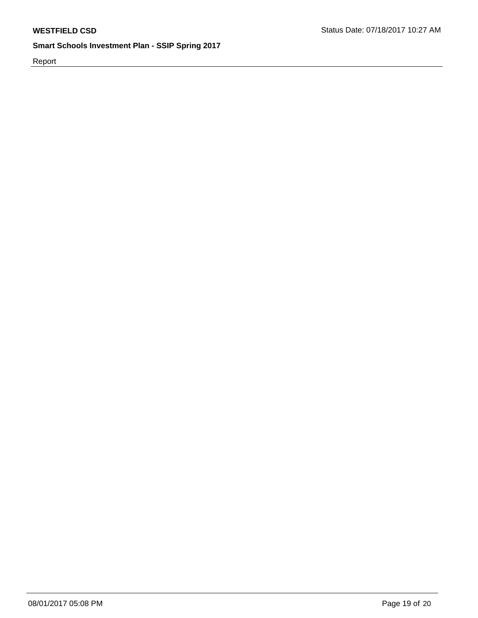Report